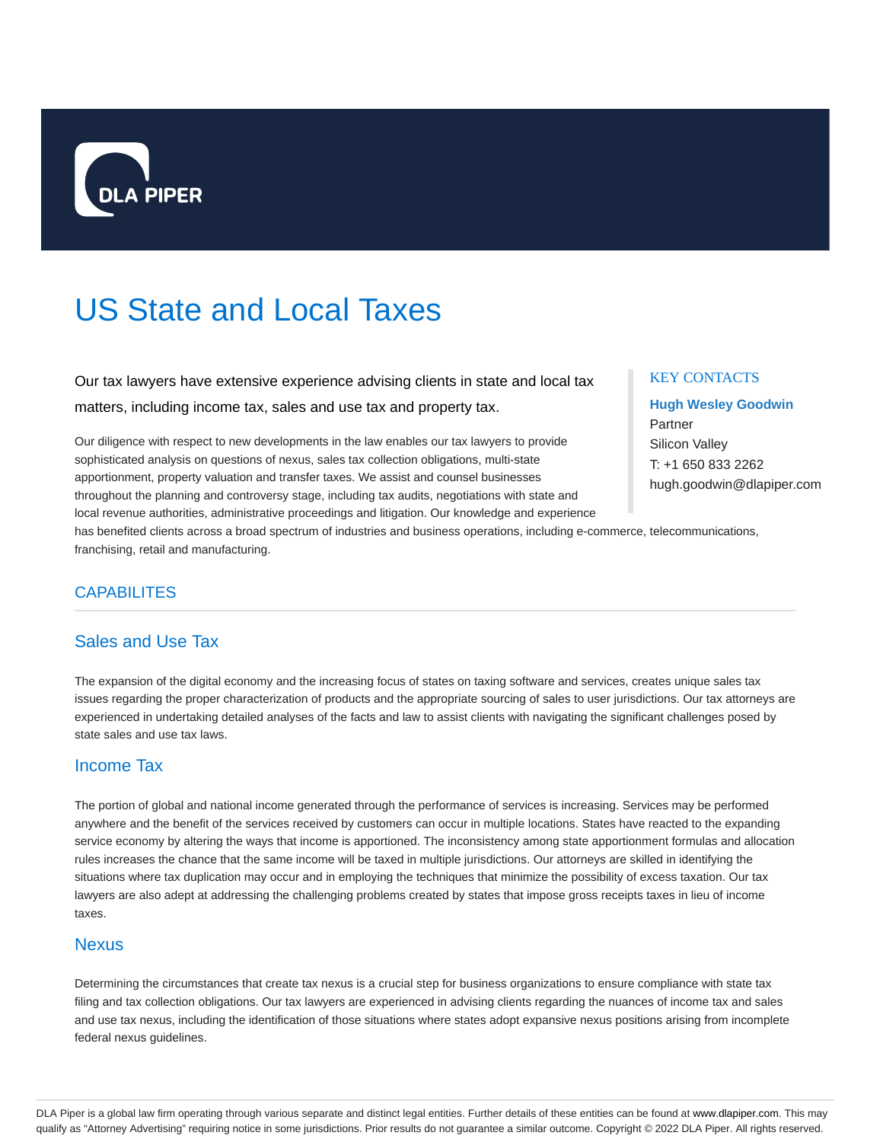

# US State and Local Taxes

Our tax lawyers have extensive experience advising clients in state and local tax matters, including income tax, sales and use tax and property tax.

Our diligence with respect to new developments in the law enables our tax lawyers to provide sophisticated analysis on questions of nexus, sales tax collection obligations, multi-state apportionment, property valuation and transfer taxes. We assist and counsel businesses throughout the planning and controversy stage, including tax audits, negotiations with state and local revenue authorities, administrative proceedings and litigation. Our knowledge and experience

#### KEY CONTACTS

**Hugh Wesley Goodwin** Partner Silicon Valley T: +1 650 833 2262 hugh.goodwin@dlapiper.com

has benefited clients across a broad spectrum of industries and business operations, including e-commerce, telecommunications, franchising, retail and manufacturing.

## **CAPABILITES**

## Sales and Use Tax

The expansion of the digital economy and the increasing focus of states on taxing software and services, creates unique sales tax issues regarding the proper characterization of products and the appropriate sourcing of sales to user jurisdictions. Our tax attorneys are experienced in undertaking detailed analyses of the facts and law to assist clients with navigating the significant challenges posed by state sales and use tax laws.

#### Income Tax

The portion of global and national income generated through the performance of services is increasing. Services may be performed anywhere and the benefit of the services received by customers can occur in multiple locations. States have reacted to the expanding service economy by altering the ways that income is apportioned. The inconsistency among state apportionment formulas and allocation rules increases the chance that the same income will be taxed in multiple jurisdictions. Our attorneys are skilled in identifying the situations where tax duplication may occur and in employing the techniques that minimize the possibility of excess taxation. Our tax lawyers are also adept at addressing the challenging problems created by states that impose gross receipts taxes in lieu of income taxes.

#### **Nexus**

Determining the circumstances that create tax nexus is a crucial step for business organizations to ensure compliance with state tax filing and tax collection obligations. Our tax lawyers are experienced in advising clients regarding the nuances of income tax and sales and use tax nexus, including the identification of those situations where states adopt expansive nexus positions arising from incomplete federal nexus guidelines.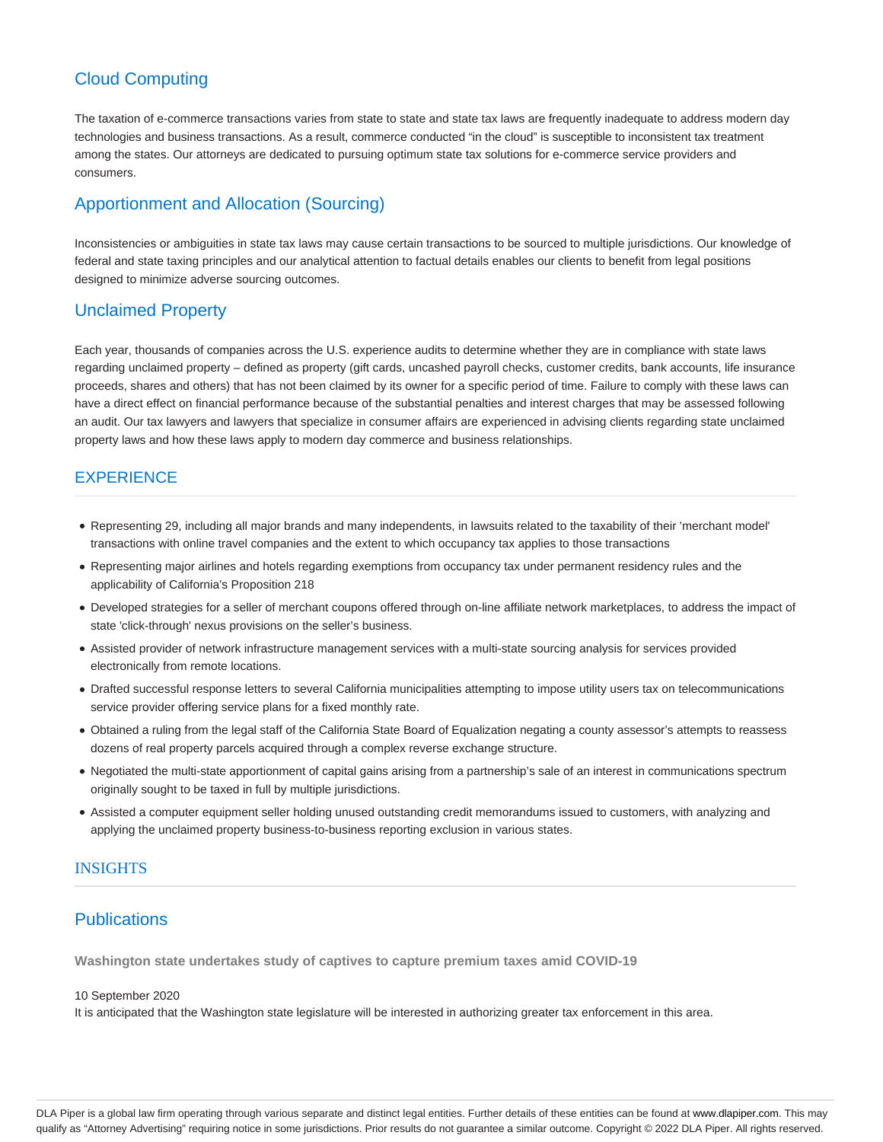# Cloud Computing

The taxation of e-commerce transactions varies from state to state and state tax laws are frequently inadequate to address modern day technologies and business transactions. As a result, commerce conducted "in the cloud" is susceptible to inconsistent tax treatment among the states. Our attorneys are dedicated to pursuing optimum state tax solutions for e-commerce service providers and consumers.

# Apportionment and Allocation (Sourcing)

Inconsistencies or ambiguities in state tax laws may cause certain transactions to be sourced to multiple jurisdictions. Our knowledge of federal and state taxing principles and our analytical attention to factual details enables our clients to benefit from legal positions designed to minimize adverse sourcing outcomes.

## Unclaimed Property

Each year, thousands of companies across the U.S. experience audits to determine whether they are in compliance with state laws regarding unclaimed property – defined as property (gift cards, uncashed payroll checks, customer credits, bank accounts, life insurance proceeds, shares and others) that has not been claimed by its owner for a specific period of time. Failure to comply with these laws can have a direct effect on financial performance because of the substantial penalties and interest charges that may be assessed following an audit. Our tax lawyers and lawyers that specialize in consumer affairs are experienced in advising clients regarding state unclaimed property laws and how these laws apply to modern day commerce and business relationships.

## EXPERIENCE

- Representing 29, including all major brands and many independents, in lawsuits related to the taxability of their 'merchant model' transactions with online travel companies and the extent to which occupancy tax applies to those transactions
- Representing major airlines and hotels regarding exemptions from occupancy tax under permanent residency rules and the applicability of California's Proposition 218
- Developed strategies for a seller of merchant coupons offered through on-line affiliate network marketplaces, to address the impact of state 'click-through' nexus provisions on the seller's business.
- Assisted provider of network infrastructure management services with a multi-state sourcing analysis for services provided electronically from remote locations.
- Drafted successful response letters to several California municipalities attempting to impose utility users tax on telecommunications service provider offering service plans for a fixed monthly rate.
- Obtained a ruling from the legal staff of the California State Board of Equalization negating a county assessor's attempts to reassess dozens of real property parcels acquired through a complex reverse exchange structure.
- Negotiated the multi-state apportionment of capital gains arising from a partnership's sale of an interest in communications spectrum originally sought to be taxed in full by multiple jurisdictions.
- Assisted a computer equipment seller holding unused outstanding credit memorandums issued to customers, with analyzing and applying the unclaimed property business-to-business reporting exclusion in various states.

#### INSIGHTS

# **Publications**

**Washington state undertakes study of captives to capture premium taxes amid COVID-19**

#### 10 September 2020

It is anticipated that the Washington state legislature will be interested in authorizing greater tax enforcement in this area.